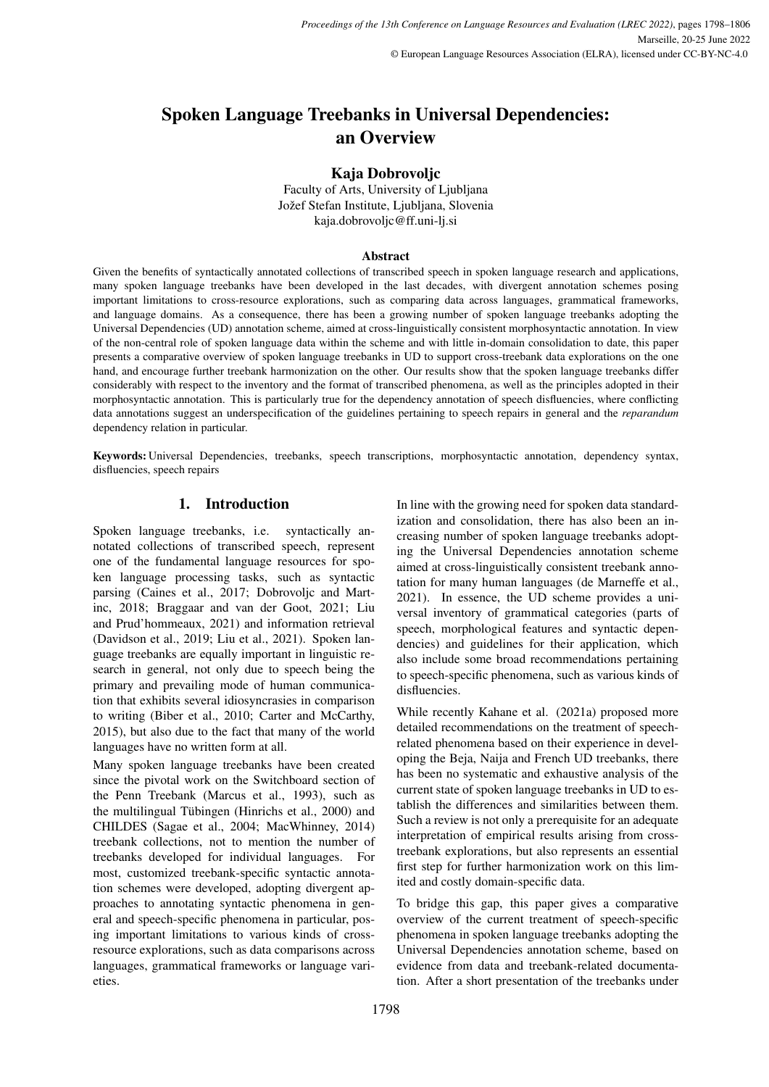# Spoken Language Treebanks in Universal Dependencies: an Overview

# Kaja Dobrovoljc

Faculty of Arts, University of Ljubljana Jožef Stefan Institute, Ljubljana, Slovenia kaja.dobrovoljc@ff.uni-lj.si

#### Abstract

Given the benefits of syntactically annotated collections of transcribed speech in spoken language research and applications, many spoken language treebanks have been developed in the last decades, with divergent annotation schemes posing important limitations to cross-resource explorations, such as comparing data across languages, grammatical frameworks, and language domains. As a consequence, there has been a growing number of spoken language treebanks adopting the Universal Dependencies (UD) annotation scheme, aimed at cross-linguistically consistent morphosyntactic annotation. In view of the non-central role of spoken language data within the scheme and with little in-domain consolidation to date, this paper presents a comparative overview of spoken language treebanks in UD to support cross-treebank data explorations on the one hand, and encourage further treebank harmonization on the other. Our results show that the spoken language treebanks differ considerably with respect to the inventory and the format of transcribed phenomena, as well as the principles adopted in their morphosyntactic annotation. This is particularly true for the dependency annotation of speech disfluencies, where conflicting data annotations suggest an underspecification of the guidelines pertaining to speech repairs in general and the *reparandum* dependency relation in particular.

Keywords: Universal Dependencies, treebanks, speech transcriptions, morphosyntactic annotation, dependency syntax, disfluencies, speech repairs

# 1. Introduction

Spoken language treebanks, i.e. syntactically annotated collections of transcribed speech, represent one of the fundamental language resources for spoken language processing tasks, such as syntactic parsing (Caines et al., 2017; Dobrovoljc and Martinc, 2018; Braggaar and van der Goot, 2021; Liu and Prud'hommeaux, 2021) and information retrieval (Davidson et al., 2019; Liu et al., 2021). Spoken language treebanks are equally important in linguistic research in general, not only due to speech being the primary and prevailing mode of human communication that exhibits several idiosyncrasies in comparison to writing (Biber et al., 2010; Carter and McCarthy, 2015), but also due to the fact that many of the world languages have no written form at all.

Many spoken language treebanks have been created since the pivotal work on the Switchboard section of the Penn Treebank (Marcus et al., 1993), such as the multilingual Tübingen (Hinrichs et al., 2000) and CHILDES (Sagae et al., 2004; MacWhinney, 2014) treebank collections, not to mention the number of treebanks developed for individual languages. For most, customized treebank-specific syntactic annotation schemes were developed, adopting divergent approaches to annotating syntactic phenomena in general and speech-specific phenomena in particular, posing important limitations to various kinds of crossresource explorations, such as data comparisons across languages, grammatical frameworks or language varieties.

In line with the growing need for spoken data standardization and consolidation, there has also been an increasing number of spoken language treebanks adopting the Universal Dependencies annotation scheme aimed at cross-linguistically consistent treebank annotation for many human languages (de Marneffe et al., 2021). In essence, the UD scheme provides a universal inventory of grammatical categories (parts of speech, morphological features and syntactic dependencies) and guidelines for their application, which also include some broad recommendations pertaining to speech-specific phenomena, such as various kinds of disfluencies.

While recently Kahane et al. (2021a) proposed more detailed recommendations on the treatment of speechrelated phenomena based on their experience in developing the Beja, Naija and French UD treebanks, there has been no systematic and exhaustive analysis of the current state of spoken language treebanks in UD to establish the differences and similarities between them. Such a review is not only a prerequisite for an adequate interpretation of empirical results arising from crosstreebank explorations, but also represents an essential first step for further harmonization work on this limited and costly domain-specific data.

To bridge this gap, this paper gives a comparative overview of the current treatment of speech-specific phenomena in spoken language treebanks adopting the Universal Dependencies annotation scheme, based on evidence from data and treebank-related documentation. After a short presentation of the treebanks under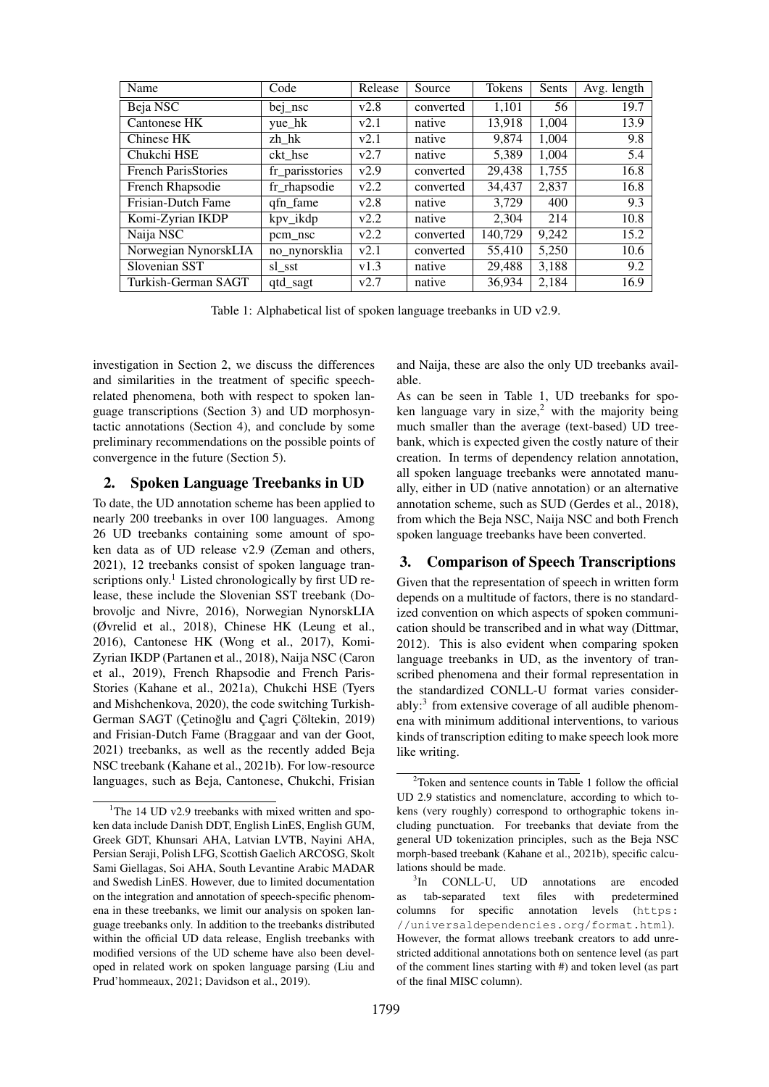| Name                       | Code            | Release | Source    | <b>Tokens</b> | Sents | Avg. length |
|----------------------------|-----------------|---------|-----------|---------------|-------|-------------|
| Beja NSC                   | bej_nsc         | v2.8    | converted | 1,101         | 56    | 19.7        |
| Cantonese HK               | yue_hk          | v2.1    | native    | 13,918        | 1.004 | 13.9        |
| Chinese HK                 | zh hk           | v2.1    | native    | 9,874         | 1.004 | 9.8         |
| Chukchi HSE                | ckt hse         | v2.7    | native    | 5,389         | 1,004 | 5.4         |
| <b>French ParisStories</b> | fr_parisstories | v2.9    | converted | 29,438        | 1,755 | 16.8        |
| French Rhapsodie           | fr_rhapsodie    | v2.2    | converted | 34.437        | 2,837 | 16.8        |
| Frisian-Dutch Fame         | qfn_fame        | v2.8    | native    | 3,729         | 400   | 9.3         |
| Komi-Zyrian IKDP           | kpv_ikdp        | v2.2    | native    | 2,304         | 214   | 10.8        |
| Naija NSC                  | pcm nsc         | v2.2    | converted | 140,729       | 9,242 | 15.2        |
| Norwegian NynorskLIA       | no_nynorsklia   | v2.1    | converted | 55.410        | 5,250 | 10.6        |
| Slovenian SST              | sl sst          | v1.3    | native    | 29,488        | 3,188 | 9.2         |
| Turkish-German SAGT        | qtd_sagt        | v2.7    | native    | 36,934        | 2.184 | 16.9        |

Table 1: Alphabetical list of spoken language treebanks in UD v2.9.

investigation in Section 2, we discuss the differences and similarities in the treatment of specific speechrelated phenomena, both with respect to spoken language transcriptions (Section 3) and UD morphosyntactic annotations (Section 4), and conclude by some preliminary recommendations on the possible points of convergence in the future (Section 5).

## 2. Spoken Language Treebanks in UD

To date, the UD annotation scheme has been applied to nearly 200 treebanks in over 100 languages. Among 26 UD treebanks containing some amount of spoken data as of UD release v2.9 (Zeman and others, 2021), 12 treebanks consist of spoken language transcriptions only.<sup>1</sup> Listed chronologically by first UD release, these include the Slovenian SST treebank (Dobrovoljc and Nivre, 2016), Norwegian NynorskLIA (Øvrelid et al., 2018), Chinese HK (Leung et al., 2016), Cantonese HK (Wong et al., 2017), Komi-Zyrian IKDP (Partanen et al., 2018), Naija NSC (Caron et al., 2019), French Rhapsodie and French Paris-Stories (Kahane et al., 2021a), Chukchi HSE (Tyers and Mishchenkova, 2020), the code switching Turkish-German SAGT (Çetinoğlu and Çagri Çöltekin, 2019) and Frisian-Dutch Fame (Braggaar and van der Goot, 2021) treebanks, as well as the recently added Beja NSC treebank (Kahane et al., 2021b). For low-resource languages, such as Beja, Cantonese, Chukchi, Frisian

and Naija, these are also the only UD treebanks available.

As can be seen in Table 1, UD treebanks for spoken language vary in size,<sup>2</sup> with the majority being much smaller than the average (text-based) UD treebank, which is expected given the costly nature of their creation. In terms of dependency relation annotation, all spoken language treebanks were annotated manually, either in UD (native annotation) or an alternative annotation scheme, such as SUD (Gerdes et al., 2018), from which the Beja NSC, Naija NSC and both French spoken language treebanks have been converted.

# 3. Comparison of Speech Transcriptions

Given that the representation of speech in written form depends on a multitude of factors, there is no standardized convention on which aspects of spoken communication should be transcribed and in what way (Dittmar, 2012). This is also evident when comparing spoken language treebanks in UD, as the inventory of transcribed phenomena and their formal representation in the standardized CONLL-U format varies considerably:<sup>3</sup> from extensive coverage of all audible phenomena with minimum additional interventions, to various kinds of transcription editing to make speech look more like writing.

<sup>&</sup>lt;sup>1</sup>The 14 UD v2.9 treebanks with mixed written and spoken data include Danish DDT, English LinES, English GUM, Greek GDT, Khunsari AHA, Latvian LVTB, Nayini AHA, Persian Seraji, Polish LFG, Scottish Gaelich ARCOSG, Skolt Sami Giellagas, Soi AHA, South Levantine Arabic MADAR and Swedish LinES. However, due to limited documentation on the integration and annotation of speech-specific phenomena in these treebanks, we limit our analysis on spoken language treebanks only. In addition to the treebanks distributed within the official UD data release, English treebanks with modified versions of the UD scheme have also been developed in related work on spoken language parsing (Liu and Prud'hommeaux, 2021; Davidson et al., 2019).

 $2$ Token and sentence counts in Table 1 follow the official UD 2.9 statistics and nomenclature, according to which tokens (very roughly) correspond to orthographic tokens including punctuation. For treebanks that deviate from the general UD tokenization principles, such as the Beja NSC morph-based treebank (Kahane et al., 2021b), specific calculations should be made.

<sup>&</sup>lt;sup>3</sup>In CONLL-U, UD annotations are encoded as tab-separated text files with predetermined columns for specific annotation levels (https: //universaldependencies.org/format.html). However, the format allows treebank creators to add unrestricted additional annotations both on sentence level (as part of the comment lines starting with #) and token level (as part of the final MISC column).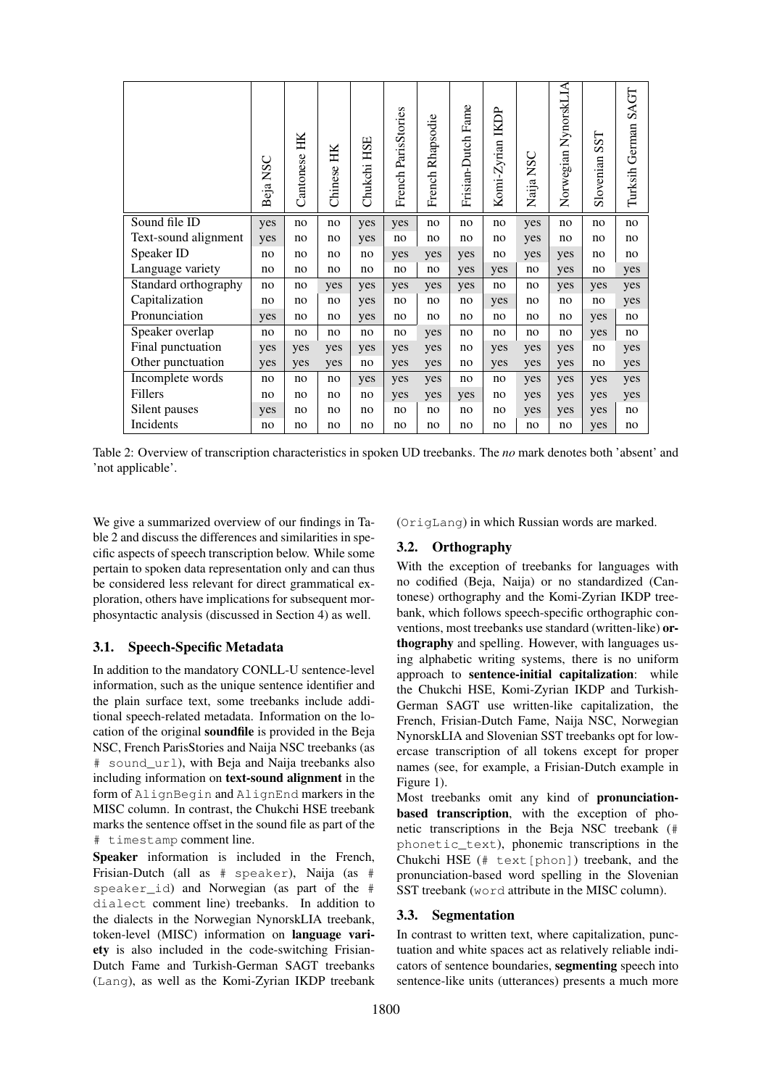|                      | Beja NSC | HK<br>Cantonese | HK<br>Chinese | Chukchi HSE | French ParisStories | French Rhapsodie | Frisian-Dutch Fame | Komi-Zyrian IKDP | Naija NSC | Norwegian NynorskLIA | 1S<br>S<br>Slovenian | Turksih German SAGT |
|----------------------|----------|-----------------|---------------|-------------|---------------------|------------------|--------------------|------------------|-----------|----------------------|----------------------|---------------------|
| Sound file ID        | yes      | no              | no            | yes         | yes                 | no               | no                 | no               | yes       | no                   | no                   | no                  |
| Text-sound alignment | yes      | no              | no            | yes         | no                  | no               | no                 | no               | yes       | no                   | no                   | no                  |
| Speaker ID           | no       | no              | no            | no          | yes                 | yes              | yes                | no               | yes       | yes                  | no                   | no                  |
| Language variety     | no       | no              | no            | no          | no                  | no               | yes                | yes              | no        | yes                  | no                   | yes                 |
| Standard orthography | no       | no              | yes           | yes         | yes                 | yes              | yes                | no               | no        | yes                  | yes                  | yes                 |
| Capitalization       | no       | no              | no            | yes         | no                  | no               | no                 | yes              | no        | no                   | no                   | yes                 |
| Pronunciation        | yes      | no              | no            | yes         | no                  | no               | no                 | no               | no        | no                   | yes                  | no                  |
| Speaker overlap      | no       | no              | no            | no          | no                  | yes              | no                 | no               | no        | no                   | yes                  | no                  |
| Final punctuation    | yes      | yes             | yes           | yes         | yes                 | yes              | no                 | yes              | yes       | yes                  | no                   | yes                 |
| Other punctuation    | yes      | yes             | yes           | no          | yes                 | yes              | no                 | yes              | yes       | yes                  | no                   | yes                 |
| Incomplete words     | no       | no              | no            | yes         | yes                 | yes              | no                 | no               | yes       | yes                  | yes                  | yes                 |
| Fillers              | no       | no              | no            | no          | yes                 | yes              | yes                | no               | yes       | yes                  | yes                  | yes                 |
| Silent pauses        | yes      | no              | no            | no          | no                  | no               | no                 | no               | yes       | yes                  | yes                  | no                  |
| Incidents            | no       | no              | no            | no          | no                  | no               | no                 | no               | no        | no                   | yes                  | no                  |

Table 2: Overview of transcription characteristics in spoken UD treebanks. The *no* mark denotes both 'absent' and 'not applicable'.

We give a summarized overview of our findings in Table 2 and discuss the differences and similarities in specific aspects of speech transcription below. While some pertain to spoken data representation only and can thus be considered less relevant for direct grammatical exploration, others have implications for subsequent morphosyntactic analysis (discussed in Section 4) as well.

## 3.1. Speech-Specific Metadata

In addition to the mandatory CONLL-U sentence-level information, such as the unique sentence identifier and the plain surface text, some treebanks include additional speech-related metadata. Information on the location of the original soundfile is provided in the Beja NSC, French ParisStories and Naija NSC treebanks (as # sound\_url), with Beja and Naija treebanks also including information on text-sound alignment in the form of AlignBegin and AlignEnd markers in the MISC column. In contrast, the Chukchi HSE treebank marks the sentence offset in the sound file as part of the # timestamp comment line.

Speaker information is included in the French, Frisian-Dutch (all as # speaker), Naija (as # speaker\_id) and Norwegian (as part of the # dialect comment line) treebanks. In addition to the dialects in the Norwegian NynorskLIA treebank, token-level (MISC) information on language variety is also included in the code-switching Frisian-Dutch Fame and Turkish-German SAGT treebanks (Lang), as well as the Komi-Zyrian IKDP treebank

(OrigLang) in which Russian words are marked.

## 3.2. Orthography

With the exception of treebanks for languages with no codified (Beja, Naija) or no standardized (Cantonese) orthography and the Komi-Zyrian IKDP treebank, which follows speech-specific orthographic conventions, most treebanks use standard (written-like) orthography and spelling. However, with languages using alphabetic writing systems, there is no uniform approach to sentence-initial capitalization: while the Chukchi HSE, Komi-Zyrian IKDP and Turkish-German SAGT use written-like capitalization, the French, Frisian-Dutch Fame, Naija NSC, Norwegian NynorskLIA and Slovenian SST treebanks opt for lowercase transcription of all tokens except for proper names (see, for example, a Frisian-Dutch example in Figure 1).

Most treebanks omit any kind of pronunciationbased transcription, with the exception of phonetic transcriptions in the Beja NSC treebank (# phonetic\_text), phonemic transcriptions in the Chukchi HSE (# text[phon]) treebank, and the pronunciation-based word spelling in the Slovenian SST treebank (word attribute in the MISC column).

#### 3.3. Segmentation

In contrast to written text, where capitalization, punctuation and white spaces act as relatively reliable indicators of sentence boundaries, segmenting speech into sentence-like units (utterances) presents a much more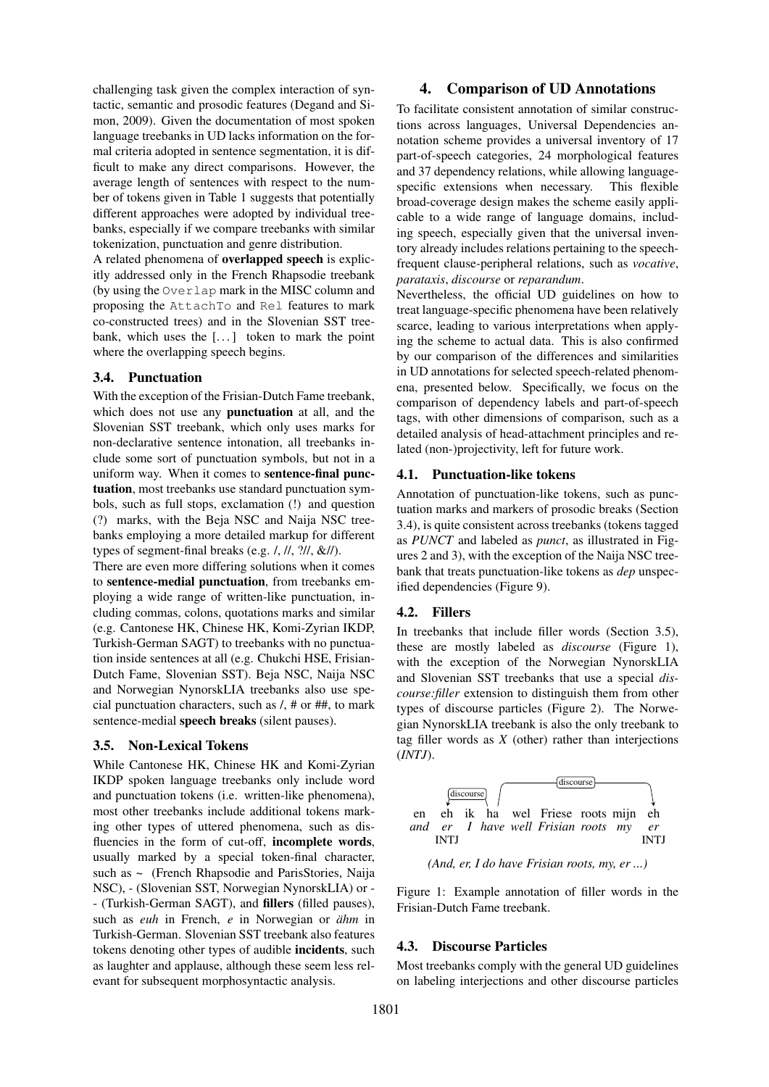challenging task given the complex interaction of syntactic, semantic and prosodic features (Degand and Simon, 2009). Given the documentation of most spoken language treebanks in UD lacks information on the formal criteria adopted in sentence segmentation, it is difficult to make any direct comparisons. However, the average length of sentences with respect to the number of tokens given in Table 1 suggests that potentially different approaches were adopted by individual treebanks, especially if we compare treebanks with similar tokenization, punctuation and genre distribution.

A related phenomena of overlapped speech is explicitly addressed only in the French Rhapsodie treebank (by using the Overlap mark in the MISC column and proposing the AttachTo and Rel features to mark co-constructed trees) and in the Slovenian SST treebank, which uses the  $[\dots]$  token to mark the point where the overlapping speech begins.

#### 3.4. Punctuation

With the exception of the Frisian-Dutch Fame treebank, which does not use any punctuation at all, and the Slovenian SST treebank, which only uses marks for non-declarative sentence intonation, all treebanks include some sort of punctuation symbols, but not in a uniform way. When it comes to sentence-final punctuation, most treebanks use standard punctuation symbols, such as full stops, exclamation (!) and question (?) marks, with the Beja NSC and Naija NSC treebanks employing a more detailed markup for different types of segment-final breaks (e.g. /, //, ?//, &//).

There are even more differing solutions when it comes to sentence-medial punctuation, from treebanks employing a wide range of written-like punctuation, including commas, colons, quotations marks and similar (e.g. Cantonese HK, Chinese HK, Komi-Zyrian IKDP, Turkish-German SAGT) to treebanks with no punctuation inside sentences at all (e.g. Chukchi HSE, Frisian-Dutch Fame, Slovenian SST). Beja NSC, Naija NSC and Norwegian NynorskLIA treebanks also use special punctuation characters, such as /, # or ##, to mark sentence-medial speech breaks (silent pauses).

#### 3.5. Non-Lexical Tokens

While Cantonese HK, Chinese HK and Komi-Zyrian IKDP spoken language treebanks only include word and punctuation tokens (i.e. written-like phenomena), most other treebanks include additional tokens marking other types of uttered phenomena, such as disfluencies in the form of cut-off, incomplete words, usually marked by a special token-final character, such as ~ (French Rhapsodie and ParisStories, Naija NSC), - (Slovenian SST, Norwegian NynorskLIA) or - - (Turkish-German SAGT), and fillers (filled pauses), such as *euh* in French, *e* in Norwegian or *ähm* in Turkish-German. Slovenian SST treebank also features tokens denoting other types of audible incidents, such as laughter and applause, although these seem less relevant for subsequent morphosyntactic analysis.

#### 4. Comparison of UD Annotations

To facilitate consistent annotation of similar constructions across languages, Universal Dependencies annotation scheme provides a universal inventory of 17 part-of-speech categories, 24 morphological features and 37 dependency relations, while allowing languagespecific extensions when necessary. This flexible broad-coverage design makes the scheme easily applicable to a wide range of language domains, including speech, especially given that the universal inventory already includes relations pertaining to the speechfrequent clause-peripheral relations, such as *vocative*, *parataxis*, *discourse* or *reparandum*.

Nevertheless, the official UD guidelines on how to treat language-specific phenomena have been relatively scarce, leading to various interpretations when applying the scheme to actual data. This is also confirmed by our comparison of the differences and similarities in UD annotations for selected speech-related phenomena, presented below. Specifically, we focus on the comparison of dependency labels and part-of-speech tags, with other dimensions of comparison, such as a detailed analysis of head-attachment principles and related (non-)projectivity, left for future work.

## 4.1. Punctuation-like tokens

Annotation of punctuation-like tokens, such as punctuation marks and markers of prosodic breaks (Section 3.4), is quite consistent across treebanks (tokens tagged as *PUNCT* and labeled as *punct*, as illustrated in Figures 2 and 3), with the exception of the Naija NSC treebank that treats punctuation-like tokens as *dep* unspecified dependencies (Figure 9).

#### 4.2. Fillers

In treebanks that include filler words (Section 3.5), these are mostly labeled as *discourse* (Figure 1), with the exception of the Norwegian NynorskLIA and Slovenian SST treebanks that use a special *discourse:filler* extension to distinguish them from other types of discourse particles (Figure 2). The Norwegian NynorskLIA treebank is also the only treebank to tag filler words as *X* (other) rather than interjections (*INTJ*).



*(And, er, I do have Frisian roots, my, er ...)*

Figure 1: Example annotation of filler words in the Frisian-Dutch Fame treebank.

### 4.3. Discourse Particles

Most treebanks comply with the general UD guidelines on labeling interjections and other discourse particles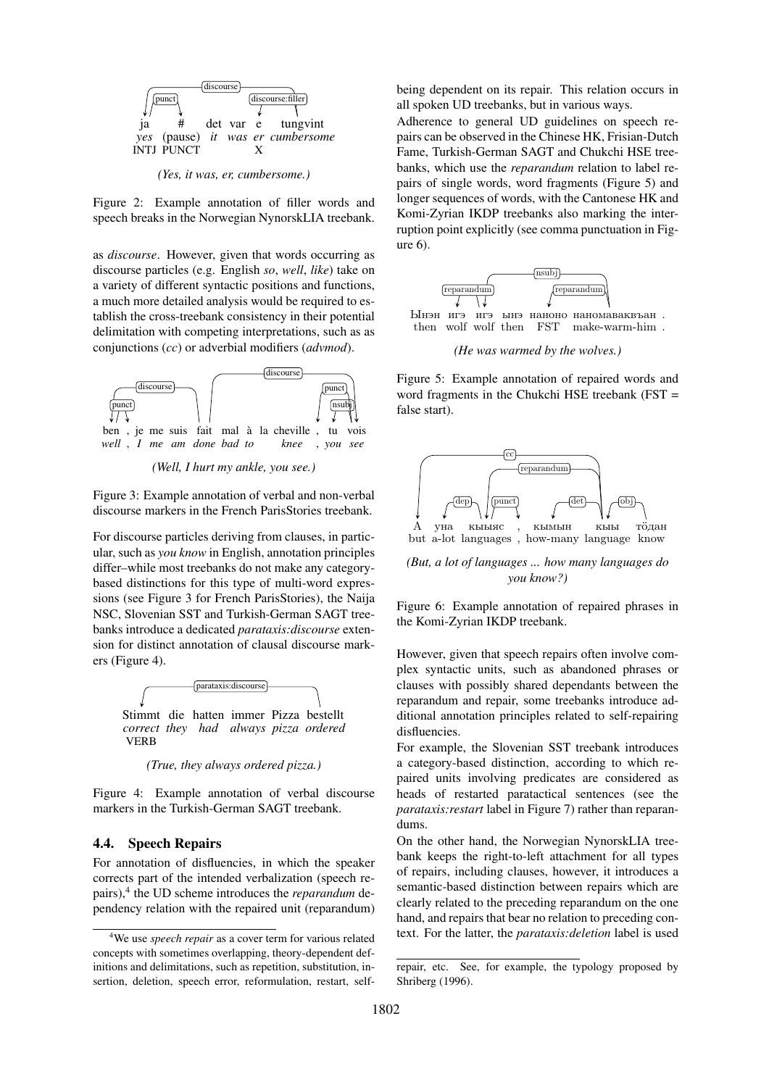

Figure 2: Example annotation of filler words and speech breaks in the Norwegian NynorskLIA treebank.

as *discourse*. However, given that words occurring as discourse particles (e.g. English *so*, *well*, *like*) take on a variety of different syntactic positions and functions, a much more detailed analysis would be required to establish the cross-treebank consistency in their potential delimitation with competing interpretations, such as as conjunctions (*cc*) or adverbial modifiers (*advmod*).



Figure 3: Example annotation of verbal and non-verbal discourse markers in the French ParisStories treebank.

For discourse particles deriving from clauses, in particular, such as *you know* in English, annotation principles differ–while most treebanks do not make any categorybased distinctions for this type of multi-word expressions (see Figure 3 for French ParisStories), the Naija NSC, Slovenian SST and Turkish-German SAGT treebanks introduce a dedicated *parataxis:discourse* extension for distinct annotation of clausal discourse markers (Figure 4).



*(True, they always ordered pizza.)*

Figure 4: Example annotation of verbal discourse markers in the Turkish-German SAGT treebank.

#### 4.4. Speech Repairs

For annotation of disfluencies, in which the speaker corrects part of the intended verbalization (speech repairs),<sup>4</sup> the UD scheme introduces the *reparandum* dependency relation with the repaired unit (reparandum) being dependent on its repair. This relation occurs in all spoken UD treebanks, but in various ways.

Adherence to general UD guidelines on speech repairs can be observed in the Chinese HK, Frisian-Dutch Fame, Turkish-German SAGT and Chukchi HSE treebanks, which use the *reparandum* relation to label repairs of single words, word fragments (Figure 5) and longer sequences of words, with the Cantonese HK and Komi-Zyrian IKDP treebanks also marking the interruption point explicitly (see comma punctuation in Figure 6).



Figure 5: Example annotation of repaired words and word fragments in the Chukchi HSE treebank (FST = false start).



*(But, a lot of languages ... how many languages do you know?)*

Figure 6: Example annotation of repaired phrases in the Komi-Zyrian IKDP treebank.

However, given that speech repairs often involve complex syntactic units, such as abandoned phrases or clauses with possibly shared dependants between the reparandum and repair, some treebanks introduce additional annotation principles related to self-repairing disfluencies.

For example, the Slovenian SST treebank introduces a category-based distinction, according to which repaired units involving predicates are considered as heads of restarted paratactical sentences (see the *parataxis:restart* label in Figure 7) rather than reparandums.

On the other hand, the Norwegian NynorskLIA treebank keeps the right-to-left attachment for all types of repairs, including clauses, however, it introduces a semantic-based distinction between repairs which are clearly related to the preceding reparandum on the one hand, and repairs that bear no relation to preceding context. For the latter, the *parataxis:deletion* label is used

<sup>4</sup>We use *speech repair* as a cover term for various related concepts with sometimes overlapping, theory-dependent definitions and delimitations, such as repetition, substitution, insertion, deletion, speech error, reformulation, restart, self-

repair, etc. See, for example, the typology proposed by Shriberg (1996).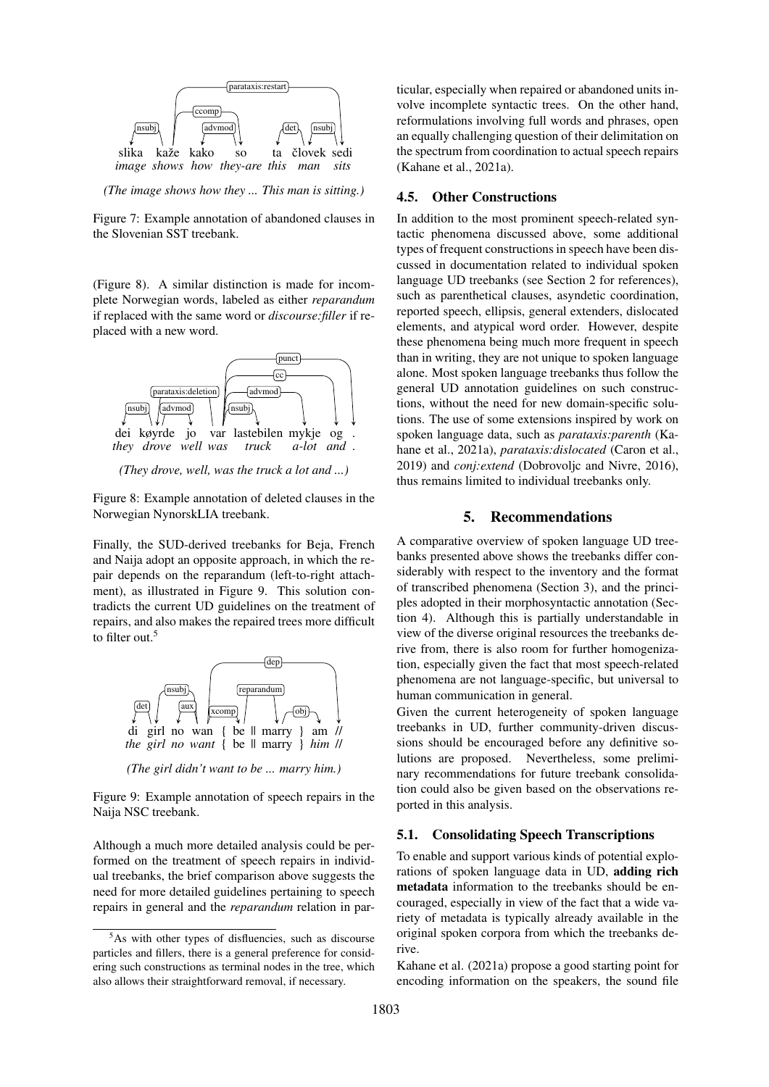

*(The image shows how they ... This man is sitting.)*

Figure 7: Example annotation of abandoned clauses in the Slovenian SST treebank.

(Figure 8). A similar distinction is made for incomplete Norwegian words, labeled as either *reparandum* if replaced with the same word or *discourse:filler* if replaced with a new word.



*(They drove, well, was the truck a lot and ...)*

Figure 8: Example annotation of deleted clauses in the Norwegian NynorskLIA treebank.

Finally, the SUD-derived treebanks for Beja, French and Naija adopt an opposite approach, in which the repair depends on the reparandum (left-to-right attachment), as illustrated in Figure 9. This solution contradicts the current UD guidelines on the treatment of repairs, and also makes the repaired trees more difficult to filter out.<sup>5</sup>



*(The girl didn't want to be ... marry him.)*

Figure 9: Example annotation of speech repairs in the Naija NSC treebank.

Although a much more detailed analysis could be performed on the treatment of speech repairs in individual treebanks, the brief comparison above suggests the need for more detailed guidelines pertaining to speech repairs in general and the *reparandum* relation in particular, especially when repaired or abandoned units involve incomplete syntactic trees. On the other hand, reformulations involving full words and phrases, open an equally challenging question of their delimitation on the spectrum from coordination to actual speech repairs (Kahane et al., 2021a).

#### 4.5. Other Constructions

In addition to the most prominent speech-related syntactic phenomena discussed above, some additional types of frequent constructions in speech have been discussed in documentation related to individual spoken language UD treebanks (see Section 2 for references), such as parenthetical clauses, asyndetic coordination, reported speech, ellipsis, general extenders, dislocated elements, and atypical word order. However, despite these phenomena being much more frequent in speech than in writing, they are not unique to spoken language alone. Most spoken language treebanks thus follow the general UD annotation guidelines on such constructions, without the need for new domain-specific solutions. The use of some extensions inspired by work on spoken language data, such as *parataxis:parenth* (Kahane et al., 2021a), *parataxis:dislocated* (Caron et al., 2019) and *conj:extend* (Dobrovoljc and Nivre, 2016), thus remains limited to individual treebanks only.

#### 5. Recommendations

A comparative overview of spoken language UD treebanks presented above shows the treebanks differ considerably with respect to the inventory and the format of transcribed phenomena (Section 3), and the principles adopted in their morphosyntactic annotation (Section 4). Although this is partially understandable in view of the diverse original resources the treebanks derive from, there is also room for further homogenization, especially given the fact that most speech-related phenomena are not language-specific, but universal to human communication in general.

Given the current heterogeneity of spoken language treebanks in UD, further community-driven discussions should be encouraged before any definitive solutions are proposed. Nevertheless, some preliminary recommendations for future treebank consolidation could also be given based on the observations reported in this analysis.

#### 5.1. Consolidating Speech Transcriptions

To enable and support various kinds of potential explorations of spoken language data in UD, adding rich metadata information to the treebanks should be encouraged, especially in view of the fact that a wide variety of metadata is typically already available in the original spoken corpora from which the treebanks derive.

Kahane et al. (2021a) propose a good starting point for encoding information on the speakers, the sound file

 $5$ As with other types of disfluencies, such as discourse particles and fillers, there is a general preference for considering such constructions as terminal nodes in the tree, which also allows their straightforward removal, if necessary.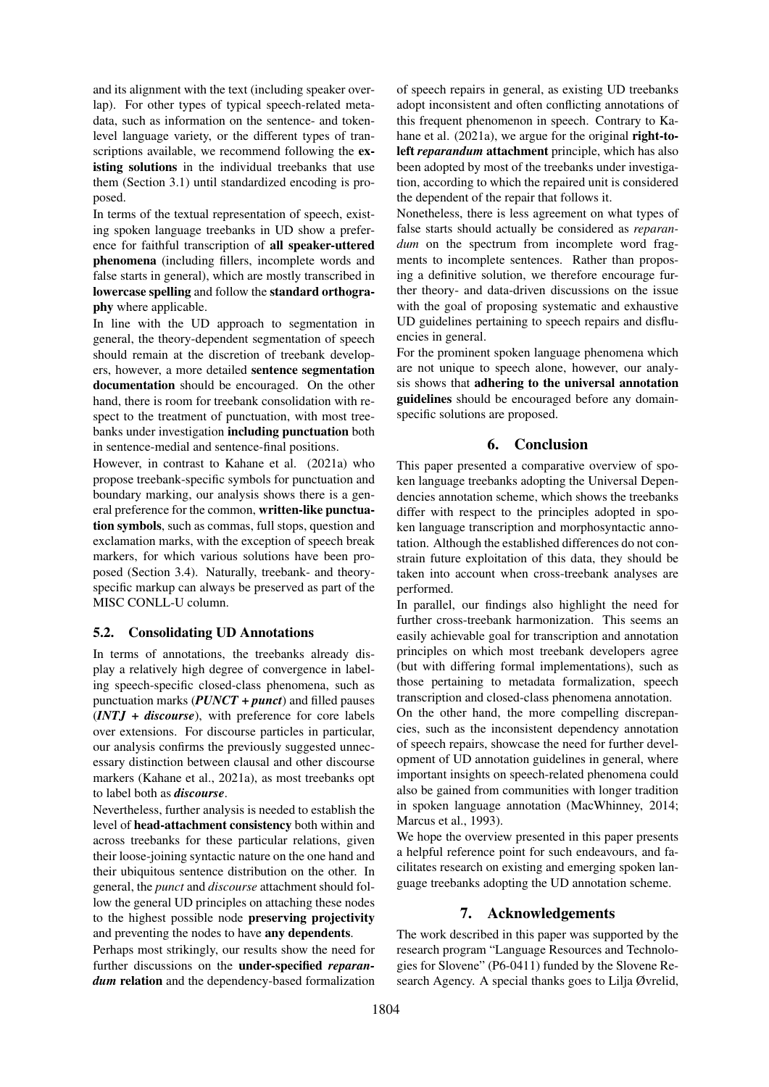and its alignment with the text (including speaker overlap). For other types of typical speech-related metadata, such as information on the sentence- and tokenlevel language variety, or the different types of transcriptions available, we recommend following the existing solutions in the individual treebanks that use them (Section 3.1) until standardized encoding is proposed.

In terms of the textual representation of speech, existing spoken language treebanks in UD show a preference for faithful transcription of all speaker-uttered phenomena (including fillers, incomplete words and false starts in general), which are mostly transcribed in lowercase spelling and follow the standard orthography where applicable.

In line with the UD approach to segmentation in general, the theory-dependent segmentation of speech should remain at the discretion of treebank developers, however, a more detailed sentence segmentation documentation should be encouraged. On the other hand, there is room for treebank consolidation with respect to the treatment of punctuation, with most treebanks under investigation including punctuation both in sentence-medial and sentence-final positions.

However, in contrast to Kahane et al. (2021a) who propose treebank-specific symbols for punctuation and boundary marking, our analysis shows there is a general preference for the common, written-like punctuation symbols, such as commas, full stops, question and exclamation marks, with the exception of speech break markers, for which various solutions have been proposed (Section 3.4). Naturally, treebank- and theoryspecific markup can always be preserved as part of the MISC CONLL-U column.

#### 5.2. Consolidating UD Annotations

In terms of annotations, the treebanks already display a relatively high degree of convergence in labeling speech-specific closed-class phenomena, such as punctuation marks (*PUNCT* + *punct*) and filled pauses (*INTJ* + *discourse*), with preference for core labels over extensions. For discourse particles in particular, our analysis confirms the previously suggested unnecessary distinction between clausal and other discourse markers (Kahane et al., 2021a), as most treebanks opt to label both as *discourse*.

Nevertheless, further analysis is needed to establish the level of head-attachment consistency both within and across treebanks for these particular relations, given their loose-joining syntactic nature on the one hand and their ubiquitous sentence distribution on the other. In general, the *punct* and *discourse* attachment should follow the general UD principles on attaching these nodes to the highest possible node preserving projectivity and preventing the nodes to have any dependents.

Perhaps most strikingly, our results show the need for further discussions on the under-specified *reparandum* relation and the dependency-based formalization

of speech repairs in general, as existing UD treebanks adopt inconsistent and often conflicting annotations of this frequent phenomenon in speech. Contrary to Kahane et al. (2021a), we argue for the original **right-to**left *reparandum* attachment principle, which has also been adopted by most of the treebanks under investigation, according to which the repaired unit is considered the dependent of the repair that follows it.

Nonetheless, there is less agreement on what types of false starts should actually be considered as *reparandum* on the spectrum from incomplete word fragments to incomplete sentences. Rather than proposing a definitive solution, we therefore encourage further theory- and data-driven discussions on the issue with the goal of proposing systematic and exhaustive UD guidelines pertaining to speech repairs and disfluencies in general.

For the prominent spoken language phenomena which are not unique to speech alone, however, our analysis shows that adhering to the universal annotation guidelines should be encouraged before any domainspecific solutions are proposed.

## 6. Conclusion

This paper presented a comparative overview of spoken language treebanks adopting the Universal Dependencies annotation scheme, which shows the treebanks differ with respect to the principles adopted in spoken language transcription and morphosyntactic annotation. Although the established differences do not constrain future exploitation of this data, they should be taken into account when cross-treebank analyses are performed.

In parallel, our findings also highlight the need for further cross-treebank harmonization. This seems an easily achievable goal for transcription and annotation principles on which most treebank developers agree (but with differing formal implementations), such as those pertaining to metadata formalization, speech transcription and closed-class phenomena annotation.

On the other hand, the more compelling discrepancies, such as the inconsistent dependency annotation of speech repairs, showcase the need for further development of UD annotation guidelines in general, where important insights on speech-related phenomena could also be gained from communities with longer tradition in spoken language annotation (MacWhinney, 2014; Marcus et al., 1993).

We hope the overview presented in this paper presents a helpful reference point for such endeavours, and facilitates research on existing and emerging spoken language treebanks adopting the UD annotation scheme.

## 7. Acknowledgements

The work described in this paper was supported by the research program "Language Resources and Technologies for Slovene" (P6-0411) funded by the Slovene Research Agency. A special thanks goes to Lilja Øvrelid,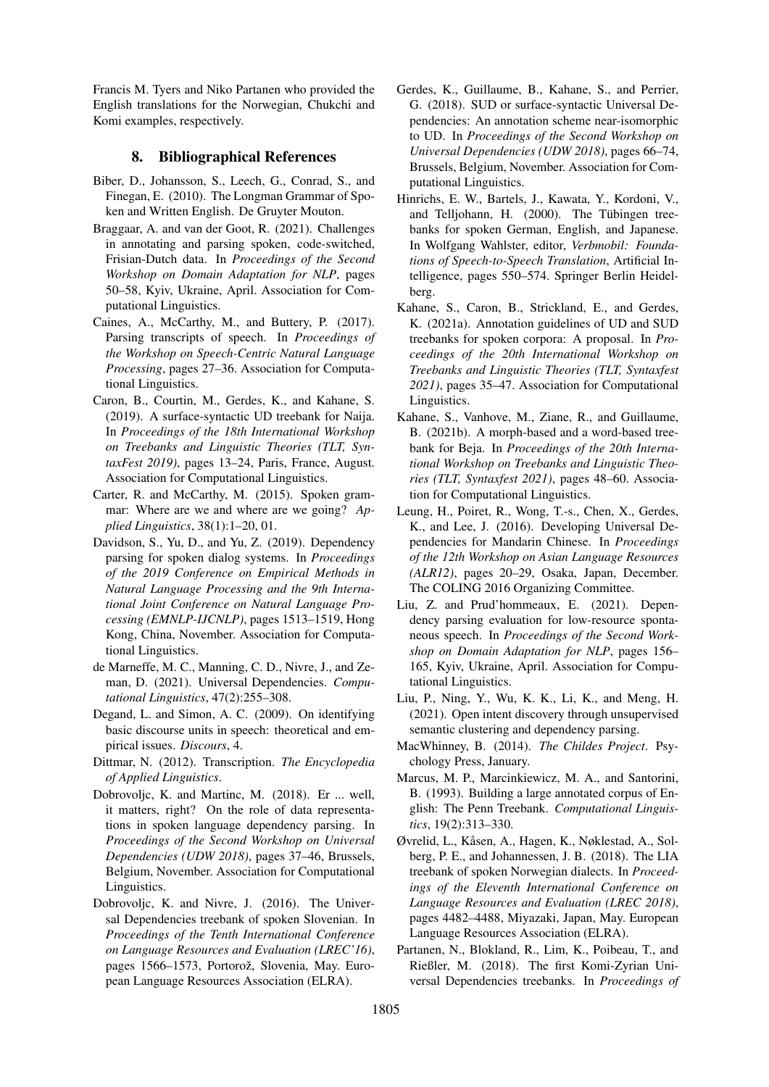Francis M. Tyers and Niko Partanen who provided the English translations for the Norwegian, Chukchi and Komi examples, respectively.

## 8. Bibliographical References

- Biber, D., Johansson, S., Leech, G., Conrad, S., and Finegan, E. (2010). The Longman Grammar of Spoken and Written English. De Gruyter Mouton.
- Braggaar, A. and van der Goot, R. (2021). Challenges in annotating and parsing spoken, code-switched, Frisian-Dutch data. In *Proceedings of the Second Workshop on Domain Adaptation for NLP*, pages 50–58, Kyiv, Ukraine, April. Association for Computational Linguistics.
- Caines, A., McCarthy, M., and Buttery, P. (2017). Parsing transcripts of speech. In *Proceedings of the Workshop on Speech-Centric Natural Language Processing*, pages 27–36. Association for Computational Linguistics.
- Caron, B., Courtin, M., Gerdes, K., and Kahane, S. (2019). A surface-syntactic UD treebank for Naija. In *Proceedings of the 18th International Workshop on Treebanks and Linguistic Theories (TLT, SyntaxFest 2019)*, pages 13–24, Paris, France, August. Association for Computational Linguistics.
- Carter, R. and McCarthy, M. (2015). Spoken grammar: Where are we and where are we going? *Applied Linguistics*, 38(1):1–20, 01.
- Davidson, S., Yu, D., and Yu, Z. (2019). Dependency parsing for spoken dialog systems. In *Proceedings of the 2019 Conference on Empirical Methods in Natural Language Processing and the 9th International Joint Conference on Natural Language Processing (EMNLP-IJCNLP)*, pages 1513–1519, Hong Kong, China, November. Association for Computational Linguistics.
- de Marneffe, M. C., Manning, C. D., Nivre, J., and Zeman, D. (2021). Universal Dependencies. *Computational Linguistics*, 47(2):255–308.
- Degand, L. and Simon, A. C. (2009). On identifying basic discourse units in speech: theoretical and empirical issues. *Discours*, 4.
- Dittmar, N. (2012). Transcription. *The Encyclopedia of Applied Linguistics*.
- Dobrovoljc, K. and Martinc, M. (2018). Er ... well, it matters, right? On the role of data representations in spoken language dependency parsing. In *Proceedings of the Second Workshop on Universal Dependencies (UDW 2018)*, pages 37–46, Brussels, Belgium, November. Association for Computational Linguistics.
- Dobrovoljc, K. and Nivre, J. (2016). The Universal Dependencies treebank of spoken Slovenian. In *Proceedings of the Tenth International Conference on Language Resources and Evaluation (LREC'16)*, pages 1566–1573, Portorož, Slovenia, May. European Language Resources Association (ELRA).
- Gerdes, K., Guillaume, B., Kahane, S., and Perrier, G. (2018). SUD or surface-syntactic Universal Dependencies: An annotation scheme near-isomorphic to UD. In *Proceedings of the Second Workshop on Universal Dependencies (UDW 2018)*, pages 66–74, Brussels, Belgium, November. Association for Computational Linguistics.
- Hinrichs, E. W., Bartels, J., Kawata, Y., Kordoni, V., and Telljohann, H. (2000). The Tübingen treebanks for spoken German, English, and Japanese. In Wolfgang Wahlster, editor, *Verbmobil: Foundations of Speech-to-Speech Translation*, Artificial Intelligence, pages 550–574. Springer Berlin Heidelberg.
- Kahane, S., Caron, B., Strickland, E., and Gerdes, K. (2021a). Annotation guidelines of UD and SUD treebanks for spoken corpora: A proposal. In *Proceedings of the 20th International Workshop on Treebanks and Linguistic Theories (TLT, Syntaxfest 2021)*, pages 35–47. Association for Computational Linguistics.
- Kahane, S., Vanhove, M., Ziane, R., and Guillaume, B. (2021b). A morph-based and a word-based treebank for Beja. In *Proceedings of the 20th International Workshop on Treebanks and Linguistic Theories (TLT, Syntaxfest 2021)*, pages 48–60. Association for Computational Linguistics.
- Leung, H., Poiret, R., Wong, T.-s., Chen, X., Gerdes, K., and Lee, J. (2016). Developing Universal Dependencies for Mandarin Chinese. In *Proceedings of the 12th Workshop on Asian Language Resources (ALR12)*, pages 20–29, Osaka, Japan, December. The COLING 2016 Organizing Committee.
- Liu, Z. and Prud'hommeaux, E. (2021). Dependency parsing evaluation for low-resource spontaneous speech. In *Proceedings of the Second Workshop on Domain Adaptation for NLP*, pages 156– 165, Kyiv, Ukraine, April. Association for Computational Linguistics.
- Liu, P., Ning, Y., Wu, K. K., Li, K., and Meng, H. (2021). Open intent discovery through unsupervised semantic clustering and dependency parsing.
- MacWhinney, B. (2014). *The Childes Project*. Psychology Press, January.
- Marcus, M. P., Marcinkiewicz, M. A., and Santorini, B. (1993). Building a large annotated corpus of English: The Penn Treebank. *Computational Linguistics*, 19(2):313–330.
- Øvrelid, L., Kåsen, A., Hagen, K., Nøklestad, A., Solberg, P. E., and Johannessen, J. B. (2018). The LIA treebank of spoken Norwegian dialects. In *Proceedings of the Eleventh International Conference on Language Resources and Evaluation (LREC 2018)*, pages 4482–4488, Miyazaki, Japan, May. European Language Resources Association (ELRA).
- Partanen, N., Blokland, R., Lim, K., Poibeau, T., and Rießler, M. (2018). The first Komi-Zyrian Universal Dependencies treebanks. In *Proceedings of*